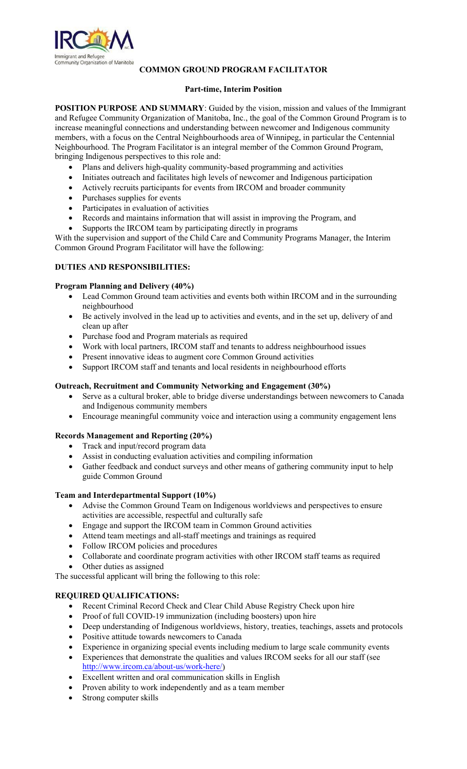

## **COMMON GROUND PROGRAM FACILITATOR**

## **Part-time, Interim Position**

**POSITION PURPOSE AND SUMMARY:** Guided by the vision, mission and values of the Immigrant and Refugee Community Organization of Manitoba, Inc., the goal of the Common Ground Program is to increase meaningful connections and understanding between newcomer and Indigenous community members, with a focus on the Central Neighbourhoods area of Winnipeg, in particular the Centennial Neighbourhood. The Program Facilitator is an integral member of the Common Ground Program, bringing Indigenous perspectives to this role and:

- Plans and delivers high-quality community-based programming and activities
- Initiates outreach and facilitates high levels of newcomer and Indigenous participation
- Actively recruits participants for events from IRCOM and broader community
- Purchases supplies for events
- Participates in evaluation of activities
- Records and maintains information that will assist in improving the Program, and
- Supports the IRCOM team by participating directly in programs

With the supervision and support of the Child Care and Community Programs Manager, the Interim Common Ground Program Facilitator will have the following:

### **DUTIES AND RESPONSIBILITIES:**

### **Program Planning and Delivery (40%)**

- Lead Common Ground team activities and events both within IRCOM and in the surrounding neighbourhood
- Be actively involved in the lead up to activities and events, and in the set up, delivery of and clean up after
- Purchase food and Program materials as required
- Work with local partners, IRCOM staff and tenants to address neighbourhood issues
- Present innovative ideas to augment core Common Ground activities
- Support IRCOM staff and tenants and local residents in neighbourhood efforts

### **Outreach, Recruitment and Community Networking and Engagement (30%)**

- Serve as a cultural broker, able to bridge diverse understandings between newcomers to Canada and Indigenous community members
- Encourage meaningful community voice and interaction using a community engagement lens

## **Records Management and Reporting (20%)**

- Track and input/record program data
- Assist in conducting evaluation activities and compiling information
- Gather feedback and conduct surveys and other means of gathering community input to help guide Common Ground

### **Team and Interdepartmental Support (10%)**

- Advise the Common Ground Team on Indigenous worldviews and perspectives to ensure activities are accessible, respectful and culturally safe
- Engage and support the IRCOM team in Common Ground activities
- Attend team meetings and all-staff meetings and trainings as required
- Follow IRCOM policies and procedures
- Collaborate and coordinate program activities with other IRCOM staff teams as required
- Other duties as assigned

The successful applicant will bring the following to this role:

# **REQUIRED QUALIFICATIONS:**

- Recent Criminal Record Check and Clear Child Abuse Registry Check upon hire
- Proof of full COVID-19 immunization (including boosters) upon hire
- Deep understanding of Indigenous worldviews, history, treaties, teachings, assets and protocols
- Positive attitude towards newcomers to Canada
- Experience in organizing special events including medium to large scale community events
- Experiences that demonstrate the qualities and values IRCOM seeks for all our staff (see [http://www.ircom.ca/about-us/work-here/\)](http://www.ircom.ca/about-us/work-here/)
- Excellent written and oral communication skills in English
- Proven ability to work independently and as a team member
- Strong computer skills